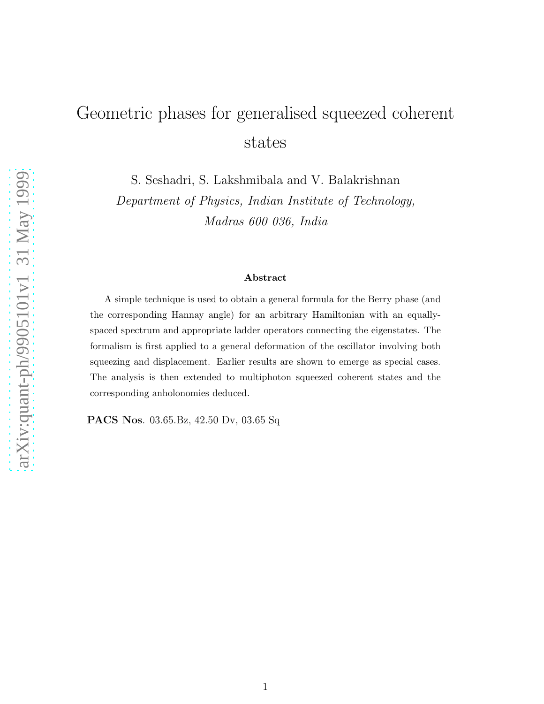# Geometric phases for generalised squeezed coherent states

S. Seshadri, S. Lakshmibala and V. Balakrishnan

Department of Physics, Indian Institute of Technology, Madras 600 036, India

### Abstract

A simple technique is used to obtain a general formula for the Berry phase (and the corresponding Hannay angle) for an arbitrary Hamiltonian with an equallyspaced spectrum and appropriate ladder operators connecting the eigenstates. The formalism is first applied to a general deformation of the oscillator involving both squeezing and displacement. Earlier results are shown to emerge as special cases. The analysis is then extended to multiphoton squeezed coherent states and the corresponding anholonomies deduced.

PACS Nos. 03.65.Bz, 42.50 Dv, 03.65 Sq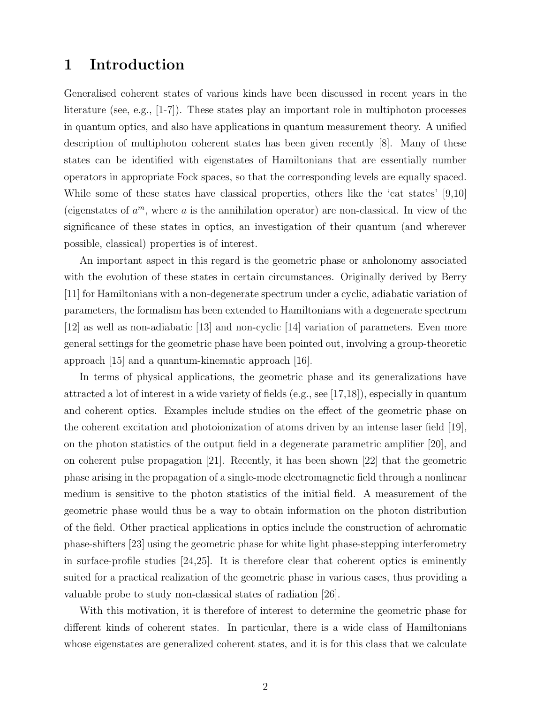## 1 Introduction

Generalised coherent states of various kinds have been discussed in recent years in the literature (see, e.g., [1-7]). These states play an important role in multiphoton processes in quantum optics, and also have applications in quantum measurement theory. A unified description of multiphoton coherent states has been given recently [8]. Many of these states can be identified with eigenstates of Hamiltonians that are essentially number operators in appropriate Fock spaces, so that the corresponding levels are equally spaced. While some of these states have classical properties, others like the 'cat states' [9,10] (eigenstates of  $a^m$ , where a is the annihilation operator) are non-classical. In view of the significance of these states in optics, an investigation of their quantum (and wherever possible, classical) properties is of interest.

An important aspect in this regard is the geometric phase or anholonomy associated with the evolution of these states in certain circumstances. Originally derived by Berry [11] for Hamiltonians with a non-degenerate spectrum under a cyclic, adiabatic variation of parameters, the formalism has been extended to Hamiltonians with a degenerate spectrum [12] as well as non-adiabatic [13] and non-cyclic [14] variation of parameters. Even more general settings for the geometric phase have been pointed out, involving a group-theoretic approach [15] and a quantum-kinematic approach [16].

In terms of physical applications, the geometric phase and its generalizations have attracted a lot of interest in a wide variety of fields (e.g., see [17,18]), especially in quantum and coherent optics. Examples include studies on the effect of the geometric phase on the coherent excitation and photoionization of atoms driven by an intense laser field [19], on the photon statistics of the output field in a degenerate parametric amplifier [20], and on coherent pulse propagation [21]. Recently, it has been shown [22] that the geometric phase arising in the propagation of a single-mode electromagnetic field through a nonlinear medium is sensitive to the photon statistics of the initial field. A measurement of the geometric phase would thus be a way to obtain information on the photon distribution of the field. Other practical applications in optics include the construction of achromatic phase-shifters [23] using the geometric phase for white light phase-stepping interferometry in surface-profile studies [24,25]. It is therefore clear that coherent optics is eminently suited for a practical realization of the geometric phase in various cases, thus providing a valuable probe to study non-classical states of radiation [26].

With this motivation, it is therefore of interest to determine the geometric phase for different kinds of coherent states. In particular, there is a wide class of Hamiltonians whose eigenstates are generalized coherent states, and it is for this class that we calculate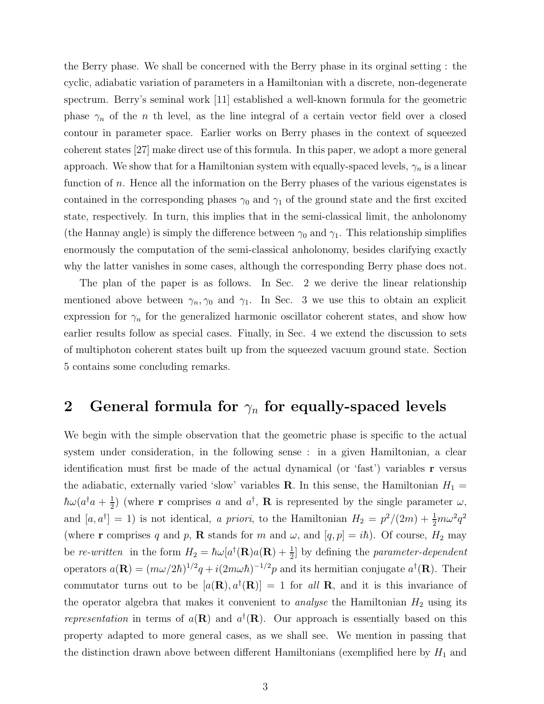the Berry phase. We shall be concerned with the Berry phase in its orginal setting : the cyclic, adiabatic variation of parameters in a Hamiltonian with a discrete, non-degenerate spectrum. Berry's seminal work [11] established a well-known formula for the geometric phase  $\gamma_n$  of the *n* th level, as the line integral of a certain vector field over a closed contour in parameter space. Earlier works on Berry phases in the context of squeezed coherent states [27] make direct use of this formula. In this paper, we adopt a more general approach. We show that for a Hamiltonian system with equally-spaced levels,  $\gamma_n$  is a linear function of n. Hence all the information on the Berry phases of the various eigenstates is contained in the corresponding phases  $\gamma_0$  and  $\gamma_1$  of the ground state and the first excited state, respectively. In turn, this implies that in the semi-classical limit, the anholonomy (the Hannay angle) is simply the difference between  $\gamma_0$  and  $\gamma_1$ . This relationship simplifies enormously the computation of the semi-classical anholonomy, besides clarifying exactly why the latter vanishes in some cases, although the corresponding Berry phase does not.

The plan of the paper is as follows. In Sec. 2 we derive the linear relationship mentioned above between  $\gamma_n, \gamma_0$  and  $\gamma_1$ . In Sec. 3 we use this to obtain an explicit expression for  $\gamma_n$  for the generalized harmonic oscillator coherent states, and show how earlier results follow as special cases. Finally, in Sec. 4 we extend the discussion to sets of multiphoton coherent states built up from the squeezed vacuum ground state. Section 5 contains some concluding remarks.

## 2 General formula for  $\gamma_n$  for equally-spaced levels

We begin with the simple observation that the geometric phase is specific to the actual system under consideration, in the following sense : in a given Hamiltonian, a clear identification must first be made of the actual dynamical (or 'fast') variables r versus the adiabatic, externally varied 'slow' variables **R**. In this sense, the Hamiltonian  $H_1 =$  $\hbar \omega (a^{\dagger }a+\frac{1}{2}% )^{2}+a^{{\dagger }a}^{2}+b^{^{\prime }a}^{2}+b^{^{\prime }a}^{2}+b^{^{\prime }a}^{2}+b^{^{\prime }a}^{2}+b^{^{\prime }a}^{2}+b^{^{\prime }a}^{2}+b^{^{\prime }a}^{2}+b^{^{\prime }a}^{2}+b^{^{\prime }a}^{2}+b^{^{\prime }a}^{2}+b^{^{\prime }a}^{2}+b^{^{\prime }a}^{2}+b^{^{\prime }a}^{2}+b^{^{\prime }a}^{2}+b^{^{\prime }a}^{2}+b^{^$  $\frac{1}{2}$ ) (where **r** comprises a and  $a^{\dagger}$ , **R** is represented by the single parameter  $\omega$ , and  $[a, a^{\dagger}] = 1$  is not identical, a priori, to the Hamiltonian  $H_2 = p^2/(2m) + \frac{1}{2}m\omega^2 q^2$ (where **r** comprises q and p, **R** stands for m and  $\omega$ , and  $[q, p] = i\hbar$ ). Of course,  $H_2$  may be re-written in the form  $H_2 = \hbar \omega [a^{\dagger}(\mathbf{R})a(\mathbf{R}) + \frac{1}{2}]$  by defining the parameter-dependent operators  $a(\mathbf{R}) = (m\omega/2\hbar)^{1/2}q + i(2m\omega\hbar)^{-1/2}p$  and its hermitian conjugate  $a^{\dagger}(\mathbf{R})$ . Their commutator turns out to be  $[a(\mathbf{R}), a^{\dagger}(\mathbf{R})] = 1$  for all **R**, and it is this invariance of the operator algebra that makes it convenient to *analyse* the Hamiltonian  $H_2$  using its representation in terms of  $a(\mathbf{R})$  and  $a^{\dagger}(\mathbf{R})$ . Our approach is essentially based on this property adapted to more general cases, as we shall see. We mention in passing that the distinction drawn above between different Hamiltonians (exemplified here by  $H_1$  and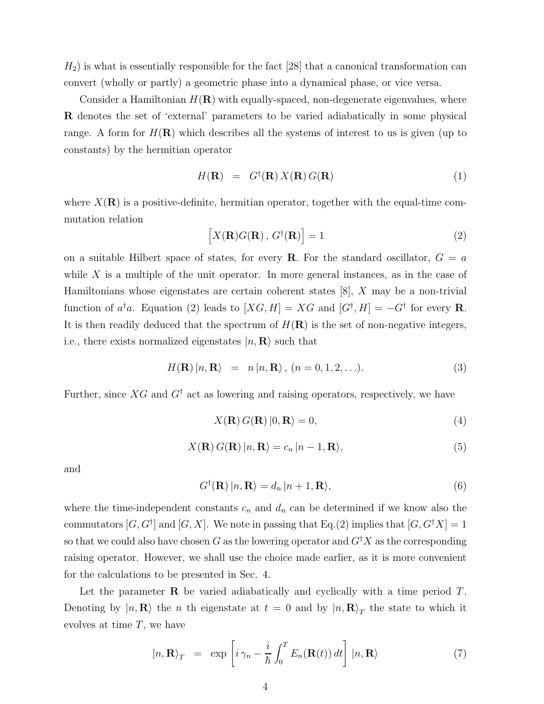$H_2$ ) is what is essentially responsible for the fact [28] that a canonical transformation can convert (wholly or partly) a geometric phase into a dynamical phase, or vice versa.

Consider a Hamiltonian  $H(\mathbf{R})$  with equally-spaced, non-degenerate eigenvalues, where R denotes the set of 'external' parameters to be varied adiabatically in some physical range. A form for  $H(\mathbf{R})$  which describes all the systems of interest to us is given (up to constants) by the hermitian operator

$$
H(\mathbf{R}) = G^{\dagger}(\mathbf{R}) X(\mathbf{R}) G(\mathbf{R})
$$
\n(1)

where  $X(\mathbf{R})$  is a positive-definite, hermitian operator, together with the equal-time commutation relation

$$
\left[X(\mathbf{R})G(\mathbf{R}), G^{\dagger}(\mathbf{R})\right] = 1\tag{2}
$$

on a suitable Hilbert space of states, for every **R**. For the standard oscillator,  $G = a$ while  $X$  is a multiple of the unit operator. In more general instances, as in the case of Hamiltonians whose eigenstates are certain coherent states [8], X may be a non-trivial function of  $a^{\dagger}a$ . Equation (2) leads to  $[XG, H] = XG$  and  $[G^{\dagger}, H] = -G^{\dagger}$  for every **R**. It is then readily deduced that the spectrum of  $H(\mathbf{R})$  is the set of non-negative integers, i.e., there exists normalized eigenstates  $|n, \mathbf{R}\rangle$  such that

$$
H(\mathbf{R}) |n, \mathbf{R}\rangle = n |n, \mathbf{R}\rangle, (n = 0, 1, 2, \ldots). \tag{3}
$$

Further, since  $XG$  and  $G^{\dagger}$  act as lowering and raising operators, respectively, we have

$$
X(\mathbf{R}) G(\mathbf{R}) |0, \mathbf{R} \rangle = 0,
$$
\n(4)

$$
X(\mathbf{R}) G(\mathbf{R}) |n, \mathbf{R} \rangle = c_n |n - 1, \mathbf{R} \rangle,
$$
\n(5)

and

$$
G^{\dagger}(\mathbf{R})|n,\mathbf{R}\rangle = d_n|n+1,\mathbf{R}\rangle,\tag{6}
$$

where the time-independent constants  $c_n$  and  $d_n$  can be determined if we know also the commutators  $[G, G^{\dagger}]$  and  $[G, X]$ . We note in passing that Eq.(2) implies that  $[G, G^{\dagger} X] = 1$ so that we could also have chosen G as the lowering operator and  $G^{\dagger}X$  as the corresponding raising operator. However, we shall use the choice made earlier, as it is more convenient for the calculations to be presented in Sec. 4.

Let the parameter  $\bf{R}$  be varied adiabatically and cyclically with a time period  $T$ . Denoting by  $|n, \mathbf{R}\rangle$  the n th eigenstate at  $t = 0$  and by  $|n, \mathbf{R}\rangle_T$  the state to which it evolves at time  $T$ , we have

$$
|n, \mathbf{R}\rangle_T = \exp\left[i\gamma_n - \frac{i}{\hbar} \int_0^T E_n(\mathbf{R}(t)) dt\right] |n, \mathbf{R}\rangle \tag{7}
$$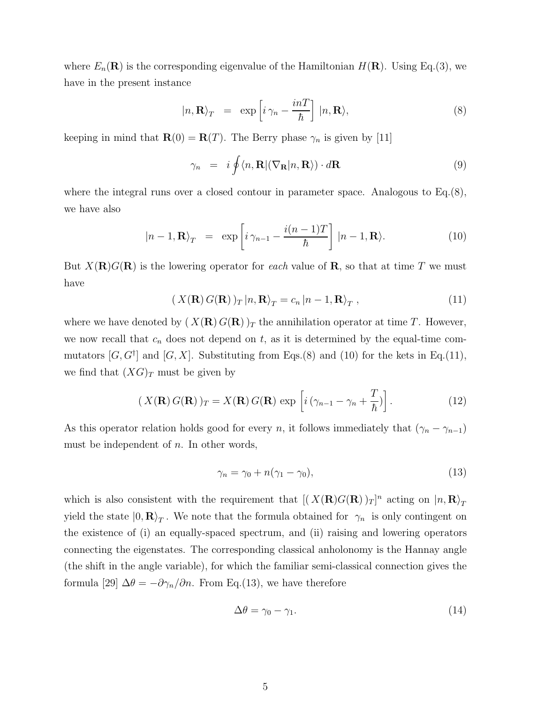where  $E_n(\mathbf{R})$  is the corresponding eigenvalue of the Hamiltonian  $H(\mathbf{R})$ . Using Eq.(3), we have in the present instance

$$
|n, \mathbf{R}\rangle_T = \exp\left[i\gamma_n - \frac{inT}{\hbar}\right] |n, \mathbf{R}\rangle, \tag{8}
$$

keeping in mind that  $\mathbf{R}(0) = \mathbf{R}(T)$ . The Berry phase  $\gamma_n$  is given by [11]

$$
\gamma_n = i \oint \langle n, \mathbf{R} | (\nabla_\mathbf{R} | n, \mathbf{R} \rangle) \cdot d\mathbf{R}
$$
\n(9)

where the integral runs over a closed contour in parameter space. Analogous to  $Eq.(8)$ , we have also

$$
|n-1, \mathbf{R}\rangle_T = \exp\left[i\,\gamma_{n-1} - \frac{i(n-1)T}{\hbar}\right] |n-1, \mathbf{R}\rangle. \tag{10}
$$

But  $X(\mathbf{R})G(\mathbf{R})$  is the lowering operator for each value of **R**, so that at time T we must have

$$
(X(\mathbf{R}) G(\mathbf{R}))_T |n, \mathbf{R}\rangle_T = c_n |n-1, \mathbf{R}\rangle_T ,
$$
\n(11)

where we have denoted by  $(X(\mathbf{R}) G(\mathbf{R}))_T$  the annihilation operator at time T. However, we now recall that  $c_n$  does not depend on t, as it is determined by the equal-time commutators  $[G, G^{\dagger}]$  and  $[G, X]$ . Substituting from Eqs.(8) and (10) for the kets in Eq.(11), we find that  $(XG)_T$  must be given by

$$
(X(\mathbf{R}) G(\mathbf{R}))_T = X(\mathbf{R}) G(\mathbf{R}) \exp \left[ i \left( \gamma_{n-1} - \gamma_n + \frac{T}{\hbar} \right) \right]. \tag{12}
$$

As this operator relation holds good for every n, it follows immediately that  $(\gamma_n - \gamma_{n-1})$ must be independent of  $n$ . In other words,

$$
\gamma_n = \gamma_0 + n(\gamma_1 - \gamma_0),\tag{13}
$$

which is also consistent with the requirement that  $[(X(\mathbf{R})G(\mathbf{R}))_T]^n$  acting on  $|n, \mathbf{R}\rangle_T$ yield the state  $|0, \mathbf{R}\rangle_T$ . We note that the formula obtained for  $\gamma_n$  is only contingent on the existence of (i) an equally-spaced spectrum, and (ii) raising and lowering operators connecting the eigenstates. The corresponding classical anholonomy is the Hannay angle (the shift in the angle variable), for which the familiar semi-classical connection gives the formula [29]  $\Delta \theta = -\partial \gamma_n / \partial n$ . From Eq.(13), we have therefore

$$
\Delta \theta = \gamma_0 - \gamma_1. \tag{14}
$$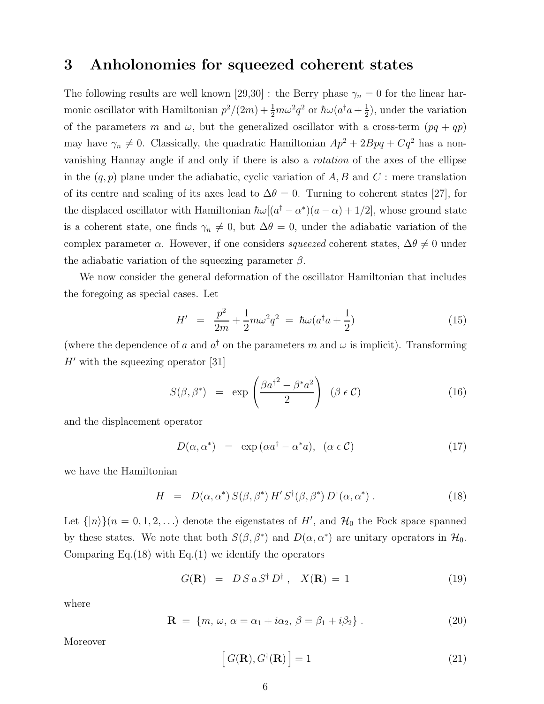## 3 Anholonomies for squeezed coherent states

The following results are well known [29,30] : the Berry phase  $\gamma_n = 0$  for the linear harmonic oscillator with Hamiltonian  $p^2/(2m) + \frac{1}{2}m\omega^2 q^2$  or  $\hbar\omega(a^\dagger a + \frac{1}{2}m\omega^2 a^\dagger a)$  $(\frac{1}{2})$ , under the variation of the parameters m and  $\omega$ , but the generalized oscillator with a cross-term  $(pq + qp)$ may have  $\gamma_n \neq 0$ . Classically, the quadratic Hamiltonian  $Ap^2 + 2Bpq + Cq^2$  has a nonvanishing Hannay angle if and only if there is also a rotation of the axes of the ellipse in the  $(q, p)$  plane under the adiabatic, cyclic variation of A, B and C : mere translation of its centre and scaling of its axes lead to  $\Delta\theta = 0$ . Turning to coherent states [27], for the displaced oscillator with Hamiltonian  $\hbar\omega[(a^{\dagger}-\alpha^*)(a-\alpha)+1/2]$ , whose ground state is a coherent state, one finds  $\gamma_n \neq 0$ , but  $\Delta\theta = 0$ , under the adiabatic variation of the complex parameter  $\alpha$ . However, if one considers *squeezed* coherent states,  $\Delta\theta \neq 0$  under the adiabatic variation of the squeezing parameter  $\beta$ .

We now consider the general deformation of the oscillator Hamiltonian that includes the foregoing as special cases. Let

$$
H' = \frac{p^2}{2m} + \frac{1}{2}m\omega^2 q^2 = \hbar\omega(a^\dagger a + \frac{1}{2})
$$
 (15)

(where the dependence of a and  $a^{\dagger}$  on the parameters m and  $\omega$  is implicit). Transforming  $H'$  with the squeezing operator [31]

$$
S(\beta, \beta^*) = \exp\left(\frac{\beta a^{\dagger^2} - \beta^* a^2}{2}\right) \quad (\beta \in \mathcal{C}) \tag{16}
$$

and the displacement operator

$$
D(\alpha, \alpha^*) = \exp(\alpha a^\dagger - \alpha^* a), \ (\alpha \in \mathcal{C}) \tag{17}
$$

we have the Hamiltonian

$$
H = D(\alpha, \alpha^*) S(\beta, \beta^*) H' S^{\dagger}(\beta, \beta^*) D^{\dagger}(\alpha, \alpha^*) . \qquad (18)
$$

Let  $\{|n\rangle\}(n=0,1,2,...)$  denote the eigenstates of H', and  $\mathcal{H}_0$  the Fock space spanned by these states. We note that both  $S(\beta, \beta^*)$  and  $D(\alpha, \alpha^*)$  are unitary operators in  $\mathcal{H}_0$ . Comparing Eq.  $(18)$  with Eq.  $(1)$  we identify the operators

$$
G(\mathbf{R}) = D S a S^{\dagger} D^{\dagger}, \quad X(\mathbf{R}) = 1 \tag{19}
$$

where

$$
\mathbf{R} = \{m, \omega, \alpha = \alpha_1 + i\alpha_2, \beta = \beta_1 + i\beta_2\}.
$$
 (20)

Moreover

$$
[G(\mathbf{R}), G^{\dagger}(\mathbf{R})] = 1
$$
\n(21)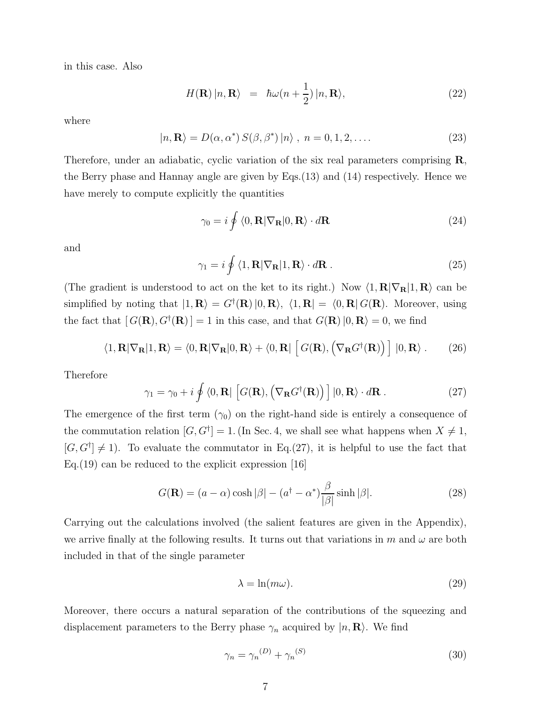in this case. Also

$$
H(\mathbf{R}) |n, \mathbf{R}\rangle = \hbar \omega (n + \frac{1}{2}) |n, \mathbf{R}\rangle, \tag{22}
$$

where

$$
|n, \mathbf{R}\rangle = D(\alpha, \alpha^*) S(\beta, \beta^*) |n\rangle , n = 0, 1, 2, ....
$$
 (23)

Therefore, under an adiabatic, cyclic variation of the six real parameters comprising **R**, the Berry phase and Hannay angle are given by Eqs.(13) and (14) respectively. Hence we have merely to compute explicitly the quantities

$$
\gamma_0 = i \oint \langle 0, \mathbf{R} | \nabla_\mathbf{R} | 0, \mathbf{R} \rangle \cdot d\mathbf{R}
$$
 (24)

and

$$
\gamma_1 = i \oint \langle 1, \mathbf{R} | \nabla_\mathbf{R} | 1, \mathbf{R} \rangle \cdot d\mathbf{R} . \tag{25}
$$

(The gradient is understood to act on the ket to its right.) Now  $\langle 1, \mathbf{R} | \nabla_{\mathbf{R}} | 1, \mathbf{R} \rangle$  can be simplified by noting that  $|1, \mathbf{R}\rangle = G^{\dagger}(\mathbf{R}) |0, \mathbf{R}\rangle, \langle 1, \mathbf{R}| = \langle 0, \mathbf{R}| G(\mathbf{R})$ . Moreover, using the fact that  $[G(\mathbf{R}), G^{\dagger}(\mathbf{R})] = 1$  in this case, and that  $G(\mathbf{R}) |0, \mathbf{R} \rangle = 0$ , we find

$$
\langle 1, \mathbf{R} | \nabla_{\mathbf{R}} | 1, \mathbf{R} \rangle = \langle 0, \mathbf{R} | \nabla_{\mathbf{R}} | 0, \mathbf{R} \rangle + \langle 0, \mathbf{R} | \left[ G(\mathbf{R}), \left( \nabla_{\mathbf{R}} G^{\dagger}(\mathbf{R}) \right) \right] | 0, \mathbf{R} \rangle. \tag{26}
$$

Therefore

$$
\gamma_1 = \gamma_0 + i \oint \langle 0, \mathbf{R} | \left[ G(\mathbf{R}), \left( \nabla_{\mathbf{R}} G^{\dagger}(\mathbf{R}) \right) \right] | 0, \mathbf{R} \rangle \cdot d\mathbf{R} . \tag{27}
$$

The emergence of the first term  $(\gamma_0)$  on the right-hand side is entirely a consequence of the commutation relation  $[G, G^{\dagger}] = 1$ . (In Sec. 4, we shall see what happens when  $X \neq 1$ ,  $[G, G^{\dagger}] \neq 1$ . To evaluate the commutator in Eq.(27), it is helpful to use the fact that Eq.  $(19)$  can be reduced to the explicit expression [16]

$$
G(\mathbf{R}) = (a - \alpha) \cosh|\beta| - (a^{\dagger} - \alpha^*) \frac{\beta}{|\beta|} \sinh|\beta|. \tag{28}
$$

Carrying out the calculations involved (the salient features are given in the Appendix), we arrive finally at the following results. It turns out that variations in m and  $\omega$  are both included in that of the single parameter

$$
\lambda = \ln(m\omega). \tag{29}
$$

Moreover, there occurs a natural separation of the contributions of the squeezing and displacement parameters to the Berry phase  $\gamma_n$  acquired by  $|n, \mathbf{R}\rangle$ . We find

$$
\gamma_n = \gamma_n^{(D)} + \gamma_n^{(S)} \tag{30}
$$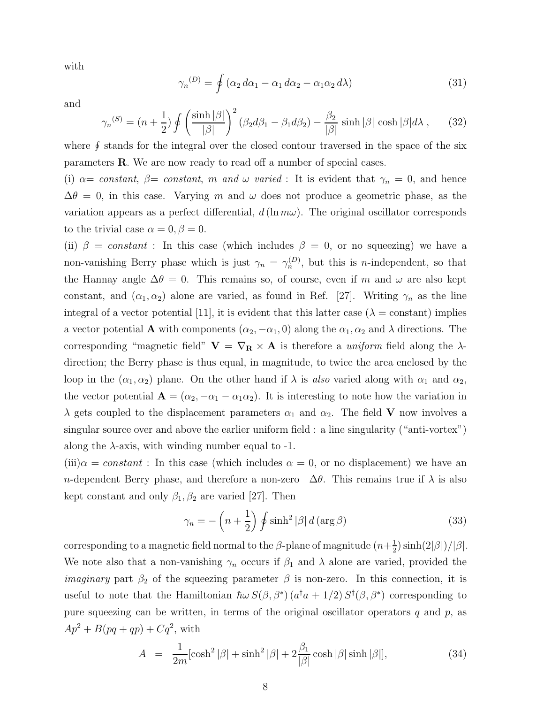with

$$
\gamma_n^{(D)} = \oint \left( \alpha_2 \, d\alpha_1 - \alpha_1 \, d\alpha_2 - \alpha_1 \alpha_2 \, d\lambda \right) \tag{31}
$$

and

$$
\gamma_n^{(S)} = (n + \frac{1}{2}) \oint \left( \frac{\sinh |\beta|}{|\beta|} \right)^2 (\beta_2 d\beta_1 - \beta_1 d\beta_2) - \frac{\beta_2}{|\beta|} \sinh |\beta| \cosh |\beta| d\lambda , \qquad (32)
$$

where  $\oint$  stands for the integral over the closed contour traversed in the space of the six parameters R. We are now ready to read off a number of special cases.

(i)  $\alpha = constant, \ \beta = constant, \ m \ and \ \omega \ varied: It is evident that \ \gamma_n = 0, \text{ and hence}$  $\Delta\theta = 0$ , in this case. Varying m and  $\omega$  does not produce a geometric phase, as the variation appears as a perfect differential,  $d(\ln m\omega)$ . The original oscillator corresponds to the trivial case  $\alpha = 0, \beta = 0$ .

(ii)  $\beta = constant$ : In this case (which includes  $\beta = 0$ , or no squeezing) we have a non-vanishing Berry phase which is just  $\gamma_n = \gamma_n^{(D)}$ , but this is *n*-independent, so that the Hannay angle  $\Delta\theta = 0$ . This remains so, of course, even if m and  $\omega$  are also kept constant, and  $(\alpha_1, \alpha_2)$  alone are varied, as found in Ref. [27]. Writing  $\gamma_n$  as the line integral of a vector potential [11], it is evident that this latter case ( $\lambda$  = constant) implies a vector potential **A** with components  $(\alpha_2, -\alpha_1, 0)$  along the  $\alpha_1, \alpha_2$  and  $\lambda$  directions. The corresponding "magnetic field"  $V = \nabla_R \times A$  is therefore a *uniform* field along the  $\lambda$ direction; the Berry phase is thus equal, in magnitude, to twice the area enclosed by the loop in the  $(\alpha_1, \alpha_2)$  plane. On the other hand if  $\lambda$  is also varied along with  $\alpha_1$  and  $\alpha_2$ , the vector potential  $\mathbf{A} = (\alpha_2, -\alpha_1 - \alpha_1 \alpha_2)$ . It is interesting to note how the variation in  $\lambda$  gets coupled to the displacement parameters  $\alpha_1$  and  $\alpha_2$ . The field **V** now involves a singular source over and above the earlier uniform field : a line singularity ("anti-vortex") along the  $\lambda$ -axis, with winding number equal to -1.

 $(iii) \alpha = constant$ : In this case (which includes  $\alpha = 0$ , or no displacement) we have an n-dependent Berry phase, and therefore a non-zero  $\Delta\theta$ . This remains true if  $\lambda$  is also kept constant and only  $\beta_1, \beta_2$  are varied [27]. Then

$$
\gamma_n = -\left(n + \frac{1}{2}\right) \oint \sinh^2 |\beta| \, d\left(\arg \beta\right) \tag{33}
$$

corresponding to a magnetic field normal to the  $\beta$ -plane of magnitude  $(n+\frac{1}{2})$  $\frac{1}{2}$ ) sinh(2| $\beta$ |)/| $\beta$ |. We note also that a non-vanishing  $\gamma_n$  occurs if  $\beta_1$  and  $\lambda$  alone are varied, provided the *imaginary* part  $\beta_2$  of the squeezing parameter  $\beta$  is non-zero. In this connection, it is useful to note that the Hamiltonian  $\hbar \omega S(\beta, \beta^*)$   $(a^{\dagger}a + 1/2) S^{\dagger}(\beta, \beta^*)$  corresponding to pure squeezing can be written, in terms of the original oscillator operators  $q$  and  $p$ , as  $Ap^{2} + B(pq + qp) + Cq^{2}$ , with

$$
A = \frac{1}{2m} [\cosh^2 |\beta| + \sinh^2 |\beta| + 2\frac{\beta_1}{|\beta|} \cosh |\beta| \sinh |\beta|], \tag{34}
$$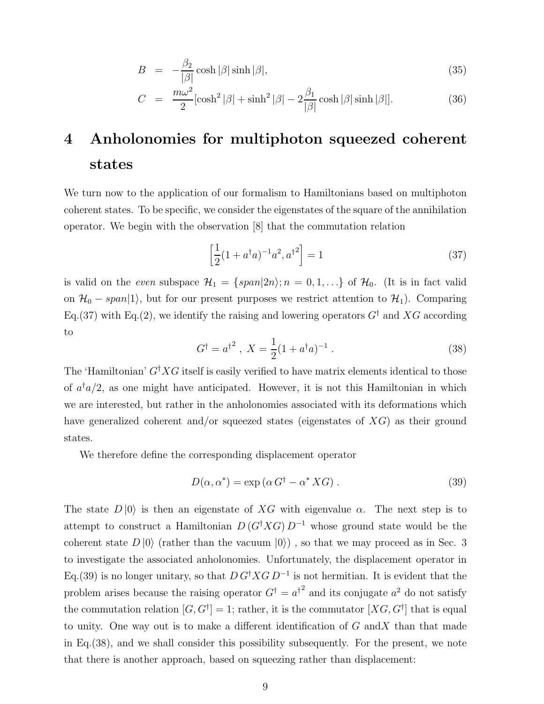$$
B = -\frac{\beta_2}{|\beta|} \cosh |\beta| \sinh |\beta|,
$$
\n(35)

$$
C = \frac{m\omega^2}{2} [\cosh^2|\beta| + \sinh^2|\beta| - 2\frac{\beta_1}{|\beta|}\cosh|\beta|\sinh|\beta|].
$$
 (36)

## 4 Anholonomies for multiphoton squeezed coherent states

We turn now to the application of our formalism to Hamiltonians based on multiphoton coherent states. To be specific, we consider the eigenstates of the square of the annihilation operator. We begin with the observation [8] that the commutation relation

$$
\left[\frac{1}{2}(1+a^{\dagger}a)^{-1}a^2, a^{\dagger}^2\right] = 1\tag{37}
$$

is valid on the even subspace  $\mathcal{H}_1 = \{span|2n\rangle; n = 0, 1, \ldots\}$  of  $\mathcal{H}_0$ . (It is in fact valid on  $\mathcal{H}_0$  – span|1), but for our present purposes we restrict attention to  $\mathcal{H}_1$ ). Comparing Eq.(37) with Eq.(2), we identify the raising and lowering operators  $G^{\dagger}$  and XG according to

$$
G^{\dagger} = a^{\dagger^2}, \ X = \frac{1}{2}(1 + a^{\dagger}a)^{-1}.
$$
 (38)

The 'Hamiltonian'  $G^{\dagger} X G$  itself is easily verified to have matrix elements identical to those of  $a^{\dagger}a/2$ , as one might have anticipated. However, it is not this Hamiltonian in which we are interested, but rather in the anholonomies associated with its deformations which have generalized coherent and/or squeezed states (eigenstates of  $X\overline{G}$ ) as their ground states.

We therefore define the corresponding displacement operator

$$
D(\alpha, \alpha^*) = \exp(\alpha G^{\dagger} - \alpha^* X G). \tag{39}
$$

The state  $D |0\rangle$  is then an eigenstate of XG with eigenvalue  $\alpha$ . The next step is to attempt to construct a Hamiltonian  $D(G^{\dagger} X G) D^{-1}$  whose ground state would be the coherent state  $D |0\rangle$  (rather than the vacuum  $|0\rangle$ ), so that we may proceed as in Sec. 3 to investigate the associated anholonomies. Unfortunately, the displacement operator in Eq.(39) is no longer unitary, so that  $D G^{\dagger} X G D^{-1}$  is not hermitian. It is evident that the problem arises because the raising operator  $G^{\dagger} = a^{\dagger^2}$  and its conjugate  $a^2$  do not satisfy the commutation relation  $[G, G^{\dagger}] = 1$ ; rather, it is the commutator  $[XG, G^{\dagger}]$  that is equal to unity. One way out is to make a different identification of  $G$  and  $X$  than that made in Eq.(38), and we shall consider this possibility subsequently. For the present, we note that there is another approach, based on squeezing rather than displacement: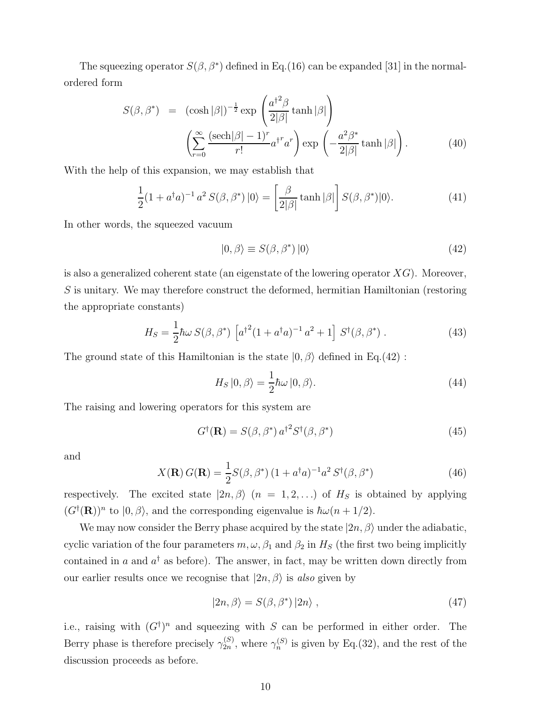The squeezing operator  $S(\beta, \beta^*)$  defined in Eq.(16) can be expanded [31] in the normalordered form

$$
S(\beta, \beta^*) = (\cosh |\beta|)^{-\frac{1}{2}} \exp\left(\frac{a^{\dagger 2}\beta}{2|\beta|} \tanh |\beta|\right)
$$

$$
\left(\sum_{r=0}^{\infty} \frac{(\text{sech}|\beta| - 1)^r}{r!} a^{\dagger r} a^r \right) \exp\left(-\frac{a^2 \beta^*}{2|\beta|} \tanh |\beta|\right).
$$
(40)

With the help of this expansion, we may establish that

$$
\frac{1}{2}(1+a^{\dagger}a)^{-1}a^2 S(\beta,\beta^*)\left|0\right\rangle = \left[\frac{\beta}{2|\beta|}\tanh|\beta|\right]S(\beta,\beta^*)\left|0\right\rangle. \tag{41}
$$

In other words, the squeezed vacuum

$$
|0,\beta\rangle \equiv S(\beta,\beta^*)\,|0\rangle\tag{42}
$$

is also a generalized coherent state (an eigenstate of the lowering operator  $XG$ ). Moreover, S is unitary. We may therefore construct the deformed, hermitian Hamiltonian (restoring the appropriate constants)

$$
H_S = \frac{1}{2} \hbar \omega \, S(\beta, \beta^*) \, \left[ a^{\dagger 2} (1 + a^{\dagger} a)^{-1} \, a^2 + 1 \right] \, S^{\dagger}(\beta, \beta^*) \,. \tag{43}
$$

The ground state of this Hamiltonian is the state  $|0, \beta\rangle$  defined in Eq.(42) :

$$
H_S |0, \beta\rangle = \frac{1}{2}\hbar\omega |0, \beta\rangle. \tag{44}
$$

The raising and lowering operators for this system are

$$
G^{\dagger}(\mathbf{R}) = S(\beta, \beta^*) a^{\dagger^2} S^{\dagger}(\beta, \beta^*)
$$
\n(45)

and

$$
X(\mathbf{R}) G(\mathbf{R}) = \frac{1}{2} S(\beta, \beta^*) (1 + a^\dagger a)^{-1} a^2 S^\dagger(\beta, \beta^*)
$$
(46)

respectively. The excited state  $|2n, \beta\rangle$   $(n = 1, 2, ...)$  of  $H_S$  is obtained by applying  $(G^{\dagger}(\mathbf{R}))^n$  to  $|0,\beta\rangle$ , and the corresponding eigenvalue is  $\hbar\omega(n+1/2)$ .

We may now consider the Berry phase acquired by the state  $|2n, \beta\rangle$  under the adiabatic, cyclic variation of the four parameters  $m, \omega, \beta_1$  and  $\beta_2$  in  $H_s$  (the first two being implicitly contained in a and  $a^{\dagger}$  as before). The answer, in fact, may be written down directly from our earlier results once we recognise that  $|2n, \beta\rangle$  is also given by

$$
|2n, \beta\rangle = S(\beta, \beta^*) |2n\rangle , \qquad (47)
$$

i.e., raising with  $(G^{\dagger})^n$  and squeezing with S can be performed in either order. The Berry phase is therefore precisely  $\gamma_{2n}^{(S)}$ , where  $\gamma_n^{(S)}$  is given by Eq.(32), and the rest of the discussion proceeds as before.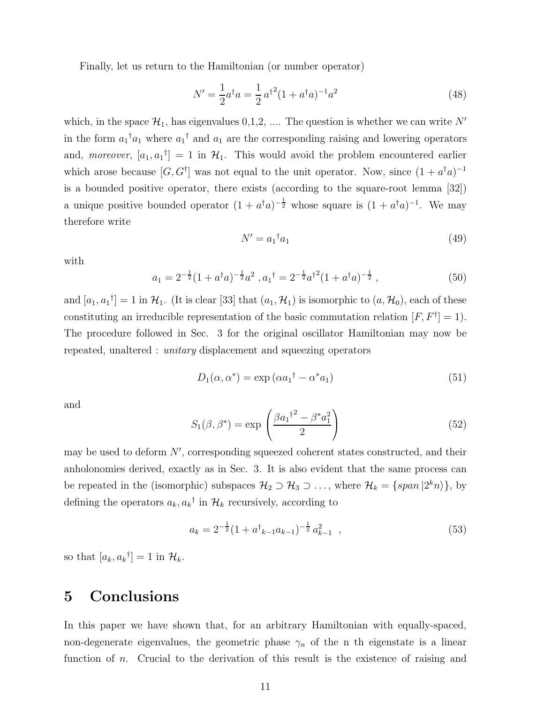Finally, let us return to the Hamiltonian (or number operator)

$$
N' = \frac{1}{2}a^{\dagger}a = \frac{1}{2}a^{\dagger^2}(1 + a^{\dagger}a)^{-1}a^2
$$
\n(48)

which, in the space  $\mathcal{H}_1$ , has eigenvalues  $0,1,2, \ldots$  The question is whether we can write N' in the form  $a_1^{\dagger} a_1$  where  $a_1^{\dagger}$  and  $a_1$  are the corresponding raising and lowering operators and, moreover,  $[a_1, a_1] = 1$  in  $\mathcal{H}_1$ . This would avoid the problem encountered earlier which arose because  $[G, G^{\dagger}]$  was not equal to the unit operator. Now, since  $(1 + a^{\dagger}a)^{-1}$ is a bounded positive operator, there exists (according to the square-root lemma [32]) a unique positive bounded operator  $(1 + a^{\dagger}a)^{-\frac{1}{2}}$  whose square is  $(1 + a^{\dagger}a)^{-1}$ . We may therefore write

$$
N' = a_1^{\dagger} a_1 \tag{49}
$$

with

$$
a_1 = 2^{-\frac{1}{2}} (1 + a^{\dagger} a)^{-\frac{1}{2}} a^2 , a_1^{\dagger} = 2^{-\frac{1}{2}} a^{\dagger 2} (1 + a^{\dagger} a)^{-\frac{1}{2}} , \qquad (50)
$$

and  $[a_1, a_1^{\dagger}] = 1$  in  $\mathcal{H}_1$ . (It is clear [33] that  $(a_1, \mathcal{H}_1)$  is isomorphic to  $(a, \mathcal{H}_0)$ , each of these constituting an irreducible representation of the basic commutation relation  $[F, F^{\dagger}] = 1$ . The procedure followed in Sec. 3 for the original oscillator Hamiltonian may now be repeated, unaltered : unitary displacement and squeezing operators

$$
D_1(\alpha, \alpha^*) = \exp\left(\alpha a_1^\dagger - \alpha^* a_1\right) \tag{51}
$$

and

$$
S_1(\beta, \beta^*) = \exp\left(\frac{\beta a_1^{1^2} - \beta^* a_1^2}{2}\right) \tag{52}
$$

may be used to deform N′ , corresponding squeezed coherent states constructed, and their anholonomies derived, exactly as in Sec. 3. It is also evident that the same process can be repeated in the (isomorphic) subspaces  $\mathcal{H}_2 \supset \mathcal{H}_3 \supset \ldots$ , where  $\mathcal{H}_k = \{span\,|2^k n\rangle\}$ , by defining the operators  $a_k, a_k^{\dagger}$  in  $\mathcal{H}_k$  recursively, according to

$$
a_k = 2^{-\frac{1}{2}} (1 + a^{\dagger}_{k-1} a_{k-1})^{-\frac{1}{2}} a_{k-1}^2 \quad , \tag{53}
$$

so that  $[a_k, a_k^{\dagger}] = 1$  in  $\mathcal{H}_k$ .

## 5 Conclusions

In this paper we have shown that, for an arbitrary Hamiltonian with equally-spaced, non-degenerate eigenvalues, the geometric phase  $\gamma_n$  of the n th eigenstate is a linear function of *n*. Crucial to the derivation of this result is the existence of raising and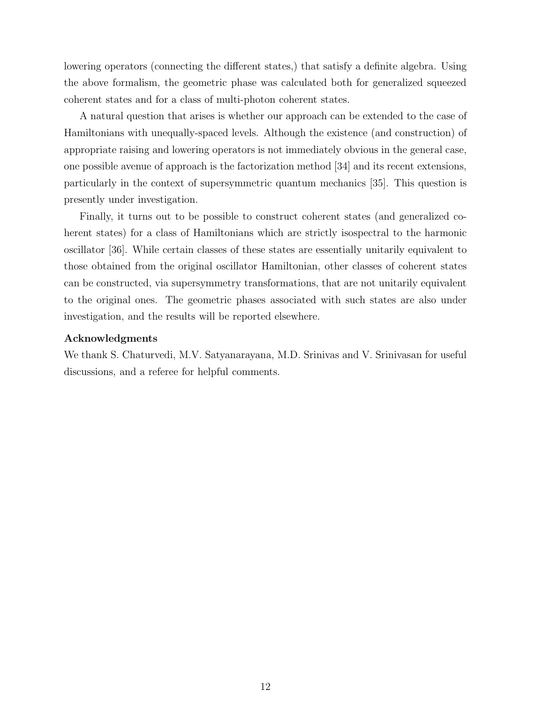lowering operators (connecting the different states,) that satisfy a definite algebra. Using the above formalism, the geometric phase was calculated both for generalized squeezed coherent states and for a class of multi-photon coherent states.

A natural question that arises is whether our approach can be extended to the case of Hamiltonians with unequally-spaced levels. Although the existence (and construction) of appropriate raising and lowering operators is not immediately obvious in the general case, one possible avenue of approach is the factorization method [34] and its recent extensions, particularly in the context of supersymmetric quantum mechanics [35]. This question is presently under investigation.

Finally, it turns out to be possible to construct coherent states (and generalized coherent states) for a class of Hamiltonians which are strictly isospectral to the harmonic oscillator [36]. While certain classes of these states are essentially unitarily equivalent to those obtained from the original oscillator Hamiltonian, other classes of coherent states can be constructed, via supersymmetry transformations, that are not unitarily equivalent to the original ones. The geometric phases associated with such states are also under investigation, and the results will be reported elsewhere.

#### Acknowledgments

We thank S. Chaturvedi, M.V. Satyanarayana, M.D. Srinivas and V. Srinivasan for useful discussions, and a referee for helpful comments.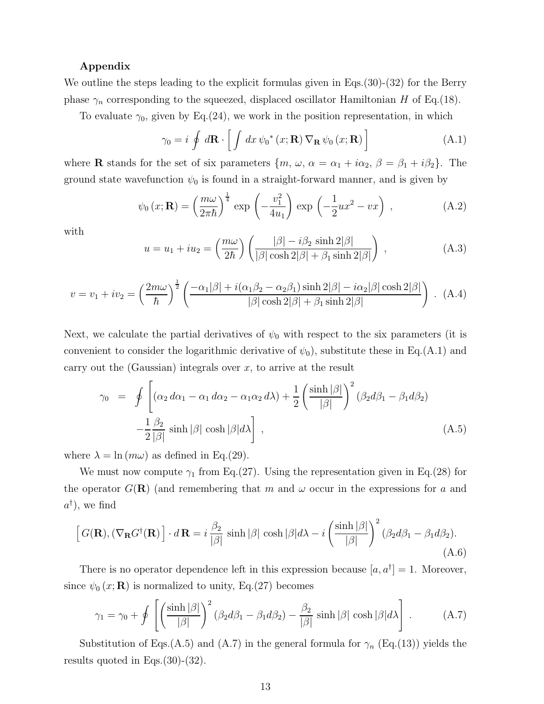### Appendix

We outline the steps leading to the explicit formulas given in Eqs.(30)-(32) for the Berry phase  $\gamma_n$  corresponding to the squeezed, displaced oscillator Hamiltonian H of Eq.(18).

To evaluate  $\gamma_0$ , given by Eq.(24), we work in the position representation, in which

$$
\gamma_0 = i \oint d\mathbf{R} \cdot \left[ \int dx \, \psi_0^*(x; \mathbf{R}) \, \nabla_{\mathbf{R}} \, \psi_0(x; \mathbf{R}) \right]
$$
(A.1)

where **R** stands for the set of six parameters  $\{m, \omega, \alpha = \alpha_1 + i\alpha_2, \beta = \beta_1 + i\beta_2\}$ . The ground state wavefunction  $\psi_0$  is found in a straight-forward manner, and is given by

$$
\psi_0(x; \mathbf{R}) = \left(\frac{m\omega}{2\pi\hbar}\right)^{\frac{1}{4}} \exp\left(-\frac{v_1^2}{4u_1}\right) \exp\left(-\frac{1}{2}ux^2 - vx\right) ,\qquad (A.2)
$$

with

$$
u = u_1 + iu_2 = \left(\frac{m\omega}{2\hbar}\right) \left(\frac{|\beta| - i\beta_2 \sinh 2|\beta|}{|\beta| \cosh 2|\beta| + \beta_1 \sinh 2|\beta|}\right) ,\qquad (A.3)
$$

$$
v = v_1 + iv_2 = \left(\frac{2m\omega}{\hbar}\right)^{\frac{1}{2}} \left(\frac{-\alpha_1|\beta| + i(\alpha_1\beta_2 - \alpha_2\beta_1)\sinh 2|\beta| - i\alpha_2|\beta|\cosh 2|\beta|}{|\beta|\cosh 2|\beta| + \beta_1\sinh 2|\beta|}\right) .
$$
 (A.4)

Next, we calculate the partial derivatives of  $\psi_0$  with respect to the six parameters (it is convenient to consider the logarithmic derivative of  $\psi_0$ , substitute these in Eq.(A.1) and carry out the (Gaussian) integrals over  $x$ , to arrive at the result

$$
\gamma_0 = \oint \left[ (\alpha_2 d\alpha_1 - \alpha_1 d\alpha_2 - \alpha_1 \alpha_2 d\lambda) + \frac{1}{2} \left( \frac{\sinh |\beta|}{|\beta|} \right)^2 (\beta_2 d\beta_1 - \beta_1 d\beta_2) - \frac{1}{2} \frac{\beta_2}{|\beta|} \sinh |\beta| \cosh |\beta| d\lambda \right],
$$
\n(A.5)

where  $\lambda = \ln (m\omega)$  as defined in Eq.(29).

We must now compute  $\gamma_1$  from Eq.(27). Using the representation given in Eq.(28) for the operator  $G(\mathbf{R})$  (and remembering that m and  $\omega$  occur in the expressions for a and  $a^{\dagger}$ ), we find

$$
\[G(\mathbf{R}), (\nabla_{\mathbf{R}} G^{\dagger}(\mathbf{R})\] \cdot d\mathbf{R} = i \frac{\beta_2}{|\beta|} \sinh |\beta| \cosh |\beta| d\lambda - i \left(\frac{\sinh |\beta|}{|\beta|}\right)^2 (\beta_2 d\beta_1 - \beta_1 d\beta_2). \tag{A.6}
$$

There is no operator dependence left in this expression because  $[a, a^{\dagger}] = 1$ . Moreover, since  $\psi_0(x; \mathbf{R})$  is normalized to unity, Eq.(27) becomes

$$
\gamma_1 = \gamma_0 + \oint \left[ \left( \frac{\sinh |\beta|}{|\beta|} \right)^2 (\beta_2 d\beta_1 - \beta_1 d\beta_2) - \frac{\beta_2}{|\beta|} \sinh |\beta| \cosh |\beta| d\lambda \right]. \tag{A.7}
$$

Substitution of Eqs.(A.5) and (A.7) in the general formula for  $\gamma_n$  (Eq.(13)) yields the results quoted in Eqs.(30)-(32).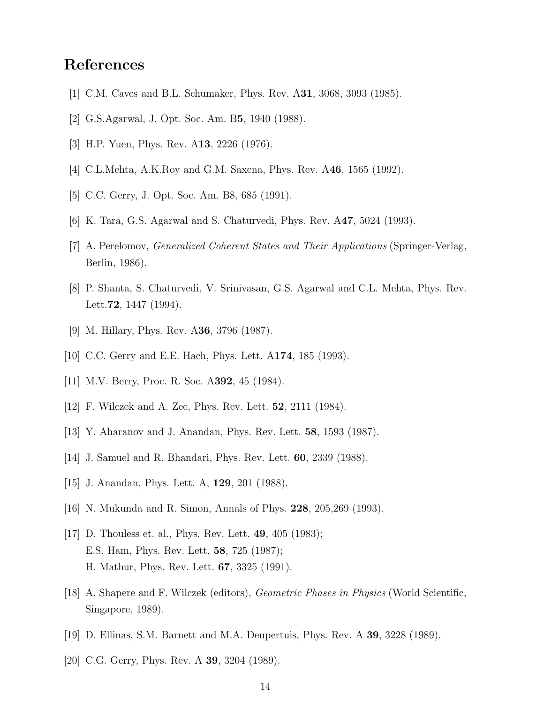## References

- [1] C.M. Caves and B.L. Schumaker, Phys. Rev. A31, 3068, 3093 (1985).
- [2] G.S.Agarwal, J. Opt. Soc. Am. B5, 1940 (1988).
- [3] H.P. Yuen, Phys. Rev. A13, 2226 (1976).
- [4] C.L.Mehta, A.K.Roy and G.M. Saxena, Phys. Rev. A46, 1565 (1992).
- [5] C.C. Gerry, J. Opt. Soc. Am. B8, 685 (1991).
- [6] K. Tara, G.S. Agarwal and S. Chaturvedi, Phys. Rev. A47, 5024 (1993).
- [7] A. Perelomov, Generalized Coherent States and Their Applications (Springer-Verlag, Berlin, 1986).
- [8] P. Shanta, S. Chaturvedi, V. Srinivasan, G.S. Agarwal and C.L. Mehta, Phys. Rev. Lett.72, 1447 (1994).
- [9] M. Hillary, Phys. Rev. A36, 3796 (1987).
- [10] C.C. Gerry and E.E. Hach, Phys. Lett. A174, 185 (1993).
- [11] M.V. Berry, Proc. R. Soc. A392, 45 (1984).
- [12] F. Wilczek and A. Zee, Phys. Rev. Lett. 52, 2111 (1984).
- [13] Y. Aharanov and J. Anandan, Phys. Rev. Lett. 58, 1593 (1987).
- [14] J. Samuel and R. Bhandari, Phys. Rev. Lett. 60, 2339 (1988).
- [15] J. Anandan, Phys. Lett. A, 129, 201 (1988).
- [16] N. Mukunda and R. Simon, Annals of Phys. 228, 205,269 (1993).
- [17] D. Thouless et. al., Phys. Rev. Lett. 49, 405 (1983); E.S. Ham, Phys. Rev. Lett. 58, 725 (1987); H. Mathur, Phys. Rev. Lett. 67, 3325 (1991).
- [18] A. Shapere and F. Wilczek (editors), Geometric Phases in Physics (World Scientific, Singapore, 1989).
- [19] D. Ellinas, S.M. Barnett and M.A. Deupertuis, Phys. Rev. A 39, 3228 (1989).
- [20] C.G. Gerry, Phys. Rev. A 39, 3204 (1989).